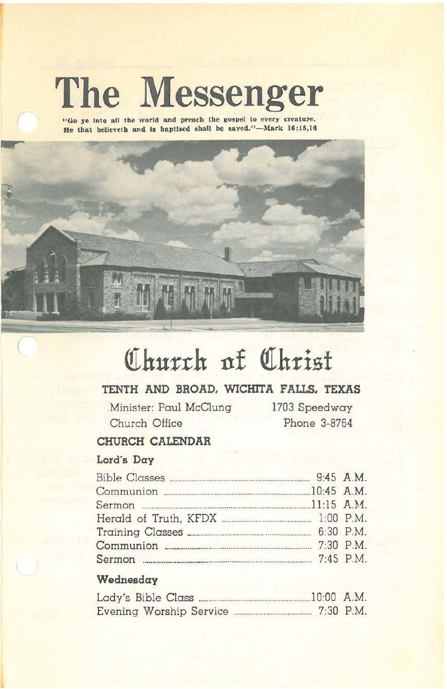# **The Messenger**

"Go ye into all the world and preach the gospel to every creature. He that believeth and is baptized shall be saved."-Mark 16;15,16



# Church of Christ

# TENTH AND BROAD, WICHITA FALLS, TEXAS

.Minister: Paul McClung Church Office

1703 Speedway Phone 3-8764

# CHURCH CALENDAR

# Lord's Day

| Communion 20145 A.M. |  |
|----------------------|--|
|                      |  |
|                      |  |
|                      |  |
| Communion 2:30 P.M.  |  |
|                      |  |

# Wednesday

|  |  |                         | $.10:00$ A.M. |
|--|--|-------------------------|---------------|
|  |  | Evening Worship Service | $7:30$ P.M.   |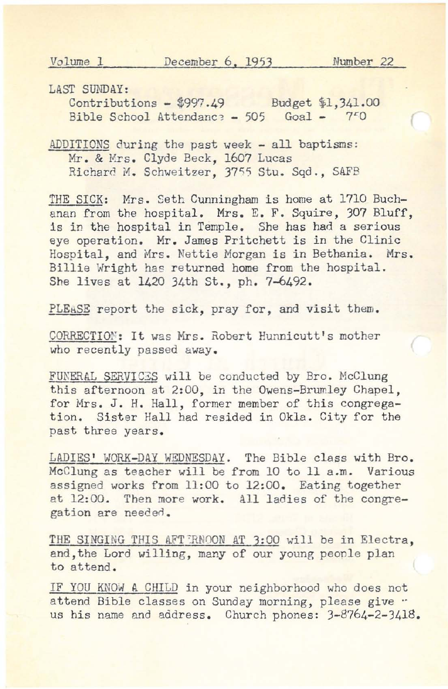LAST SUNDAY:

Contributions - \$997.49 Budget \$1,341.00 Bible School Attendance - 505 Goal -  $750$ 

ADDITIONS during the past week - all baptisms: Mr. & Mrs. Clyde Beck, 1607 Lucas Richard M. Schweitzer, 3755 Stu. Sqd., SAFB

THE SICK: Mrs. Seth Cunningham is home at 1710 Buchanan from the hospital. Mrs. E. F. Squire, 307 Bluff, is in the hospital in Temple. She has had a serious eye operation. Mr. James Pritchett is in the Clinic Hospital, and Mrs. Nettie Morgan is in Bethania. Mrs. Billie Wright has returned home from the hospital. She lives at 1420 34th St., ph. 7-6492.

PLEASE report the sick, pray for, and visit them.

CORRECTION: It was Mrs. Robert Hunnicutt's mother who recently passed away.

FUNERAL SERVICES will be conducted by Bro. McClung this afternoon at 2:00, in the Owens-Brumley Chapel, for Mrs. J. H. Hall, former member of this congregation. Sister Hall had resided in Okla. City for the past three years.

LADIES' WORK-DAY WEDNESDAY. The Bible class with Bro. McClung as teacher will be from 10 to 11 a.m. Various assigned works from 11:00 to 12:00. Eating together at 12:00. Then more work. all ladies of the congregation are needed.

THE SINGING THIS AFT ERNOON AT 3:00 will be in Electra, and,the Lord willing, many of our young peonle plan to attend.

IF YOU KNOW A CHILD in your neighborhood who does not attend Bible classes on Sunday morning, please give ... us his name and address. Church phones: 3-8764-2-3418.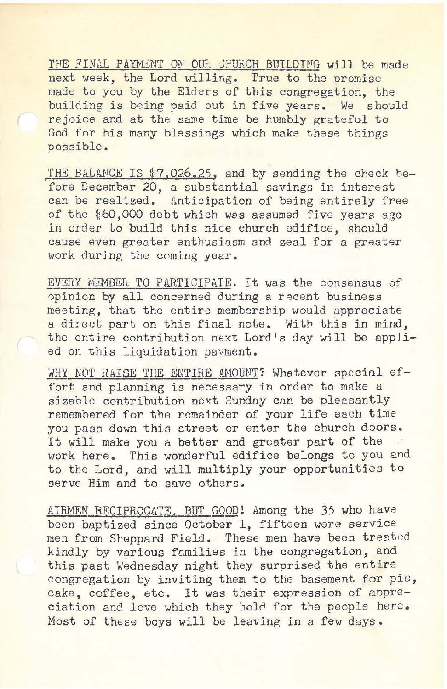THE FINAL PAYMENT ON OUL SPURCH BUILDING will be made next week, the Lord willing. True to the promise made to you by the Elders of this congregation, the building is being paid out in five years. We should rejoice and at the sawe time be humbly grateful to God for his many blessings which make these things possible.

THE BALANCE IS \$7,026.25, and by sending the check before December 20, a substantial savings in interest can be realized. Anticipation of being entirely free of the \$60,000 debt which was assumed five years ago in order to build this nice church edifice, should cause even greater enthusiasm and zeal for a greater work during the coming year.

EVERY WEMBER TO PARTICIPATE. It was the consensus of opinion by all concerned during a recent business meeting, that the entire membership would appreciate a direct part on this final note. With this in mind, the entire contribution next Lord's day will be applied on this liquidation pavment.

WHY NOT RAISE THE ENTIRE AMOUNT? Whatever special effort and planning is necessary in order to make a sizable contribution next Sunday can be pleasantly remembered for the remainder of your life each time you pass down this street or enter the church doors. It will make you a better and greater part of the work here. This wonderful edifice belongs to you and to the Lord, and will multiply your opportunities to serve Him and to save others.

AIRMEN RECIPROCATE, BUT GOOD! Among the 35 who have been baptized since October 1, fifteen were service men from Sheppard Field. These men have been treeted kindly by various families in the congregation, and this past Wednesday night they surprised the entire congregation by inviting them to the basement for pie, cake, coffee, etc. It was their expression of anpreciation and love which they hold for the people here. Most of these boys will be leaving in a few days.